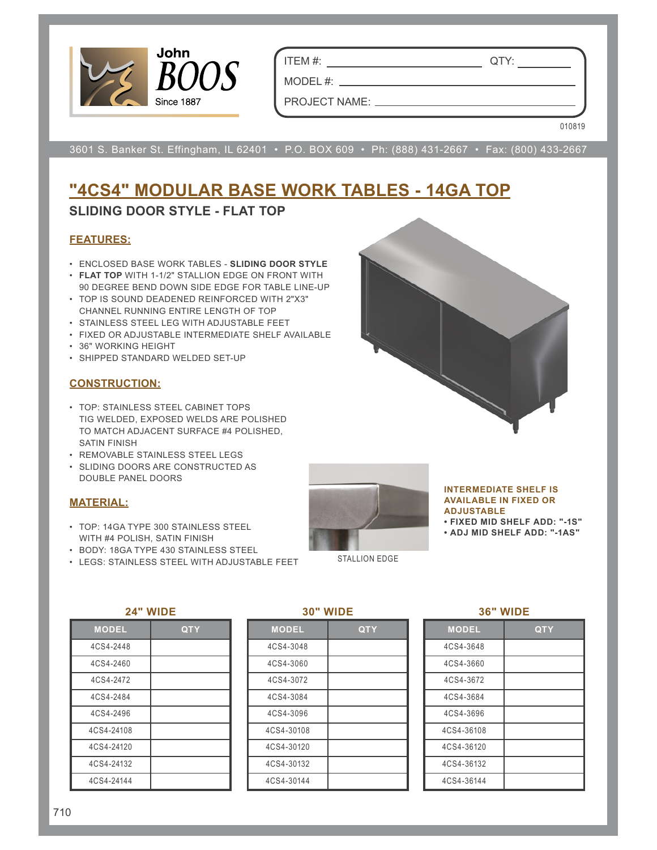

ITEM #: QTY:

MODEL#: \_\_ PROJECT NAME:

010819

3601 S. Banker St. Effingham, IL 62401 • P.O. BOX 609 • Ph: (888) 431-2667 • Fax: (800) 433-2667

# **"4CS4" MODULAR BASE WORK TABLES - 14GA TOP**

## **SLIDING DOOR STYLE - FLAT TOP**

### **FEATURES:**

- ENCLOSED BASE WORK TABLES **SLIDING DOOR STYLE**
- **FLAT TOP** WITH 1-1/2" STALLION EDGE ON FRONT WITH 90 DEGREE BEND DOWN SIDE EDGE FOR TABLE LINE-UP
- TOP IS SOUND DEADENED REINFORCED WITH 2"X3" CHANNEL RUNNING ENTIRE LENGTH OF TOP
- STAINLESS STEEL LEG WITH ADJUSTABLE FEET
- FIXED OR ADJUSTABLE INTERMEDIATE SHELF AVAILABLE
- 36" WORKING HEIGHT
- SHIPPED STANDARD WELDED SET-UP

### **CONSTRUCTION:**

- TOP: STAINLESS STEEL CABINET TOPS TIG WELDED, EXPOSED WELDS ARE POLISHED TO MATCH ADJACENT SURFACE #4 POLISHED, SATIN FINISH
- REMOVABLE STAINLESS STEEL LEGS
- SLIDING DOORS ARE CONSTRUCTED AS DOUBLE PANEL DOORS

## **MATERIAL:**

- TOP: 14GA TYPE 300 STAINLESS STEEL WITH #4 POLISH, SATIN FINISH
- BODY: 18GA TYPE 430 STAINLESS STEEL
- LEGS: STAINLESS STEEL WITH ADJUSTABLE FEET



#### **INTERMEDIATE SHELF IS AVAILABLE IN FIXED OR ADJUSTABLE**

**• FIXED MID SHELF ADD: "-1S"**

**• ADJ MID SHELF ADD: "-1AS"**

STALLION EDGE

#### **24" WIDE**

| <b>MODEL</b> | <b>QTY</b> |
|--------------|------------|
| 4CS4-2448    |            |
| 4CS4-2460    |            |
| 4CS4-2472    |            |
| 4CS4-2484    |            |
| 4CS4-2496    |            |
| 4CS4-24108   |            |
| 4CS4-24120   |            |
| 4CS4-24132   |            |
| 4CS4-24144   |            |

#### **30" WIDE**

| <b>MODEL</b> | QTY |
|--------------|-----|
| 4CS4-3048    |     |
| 4CS4-3060    |     |
| 4CS4-3072    |     |
| 4CS4-3084    |     |
| 4CS4-3096    |     |
| 4CS4-30108   |     |
| 4CS4-30120   |     |
| 4CS4-30132   |     |
| 4CS4-30144   |     |

#### **36" WIDE**

| <b>MODEL</b> | QTY |
|--------------|-----|
| 4CS4-3648    |     |
| 4CS4-3660    |     |
| 4CS4-3672    |     |
| 4CS4-3684    |     |
| 4CS4-3696    |     |
| 4CS4-36108   |     |
| 4CS4-36120   |     |
| 4CS4-36132   |     |
| 4CS4-36144   |     |